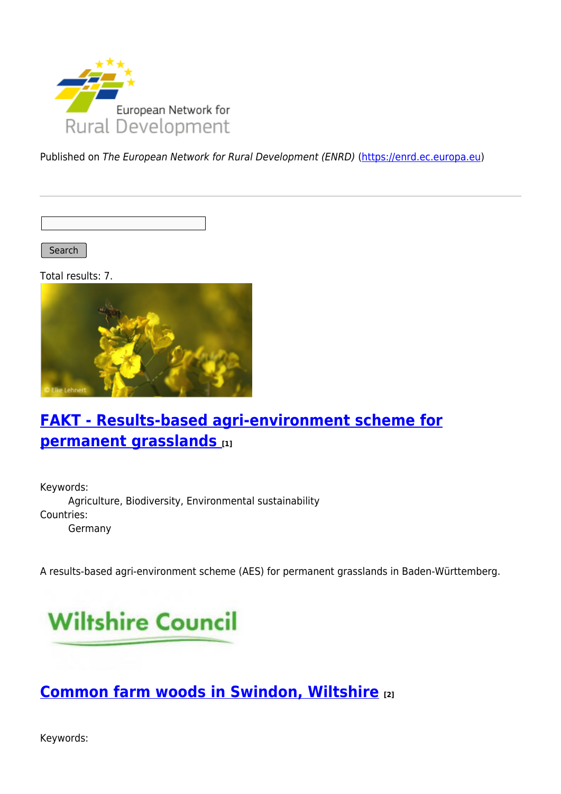

Published on The European Network for Rural Development (ENRD) [\(https://enrd.ec.europa.eu](https://enrd.ec.europa.eu))

Search |

Total results: 7.



## **[FAKT - Results-based agri-environment scheme for](https://enrd.ec.europa.eu/projects-practice/fakt-results-based-agri-environment-scheme-permanent-grasslands_en) [permanent grasslands](https://enrd.ec.europa.eu/projects-practice/fakt-results-based-agri-environment-scheme-permanent-grasslands_en) [1]**

Keywords: Agriculture, Biodiversity, Environmental sustainability Countries: Germany

A results-based agri-environment scheme (AES) for permanent grasslands in Baden-Württemberg.



## **[Common farm woods in Swindon, Wiltshire](https://enrd.ec.europa.eu/projects-practice/common-farm-woods-swindon-wiltshire_en) [2]**

Keywords: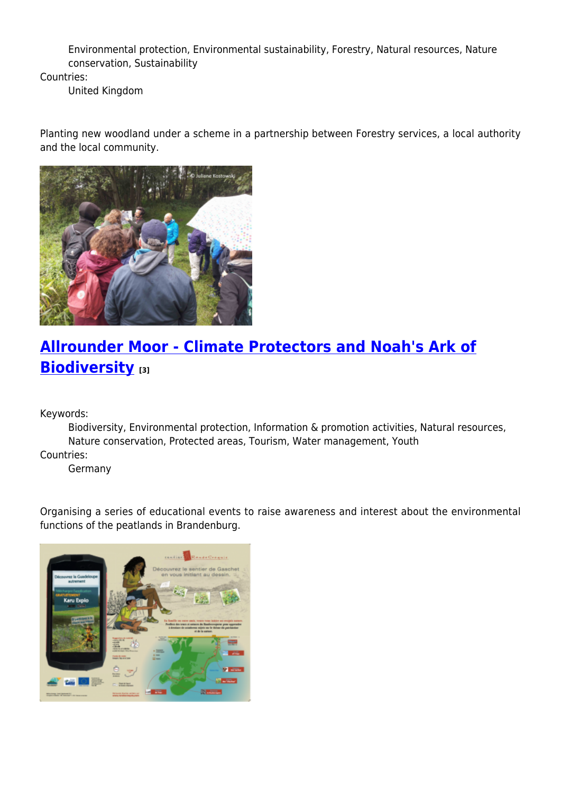Environmental protection, Environmental sustainability, Forestry, Natural resources, Nature conservation, Sustainability

Countries:

United Kingdom

Planting new woodland under a scheme in a partnership between Forestry services, a local authority and the local community.



# **[Allrounder Moor - Climate Protectors and Noah's Ark of](https://enrd.ec.europa.eu/projects-practice/allrounder-moor-climate-protectors-and-noahs-ark-biodiversity_en) [Biodiversity](https://enrd.ec.europa.eu/projects-practice/allrounder-moor-climate-protectors-and-noahs-ark-biodiversity_en) [3]**

Keywords:

Biodiversity, Environmental protection, Information & promotion activities, Natural resources, Nature conservation, Protected areas, Tourism, Water management, Youth

Countries:

Germany

Organising a series of educational events to raise awareness and interest about the environmental functions of the peatlands in Brandenburg.

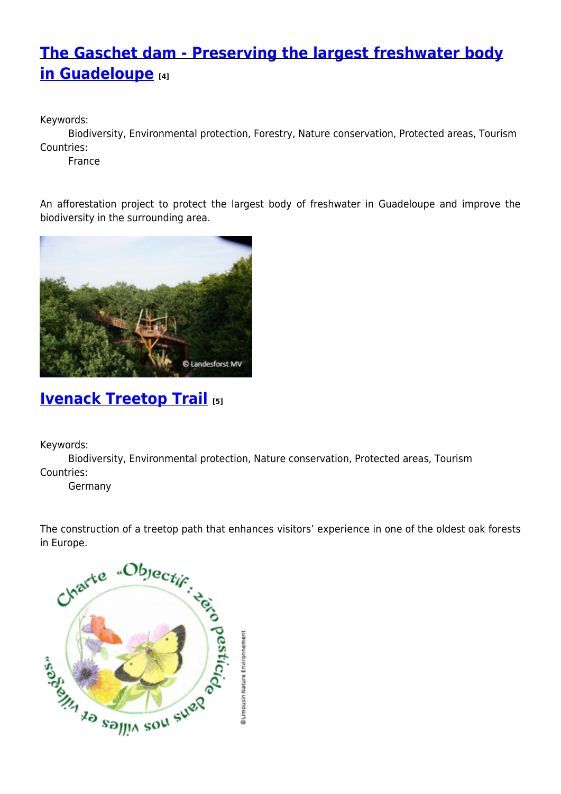## **[The Gaschet dam - Preserving the largest freshwater body](https://enrd.ec.europa.eu/projects-practice/gaschet-dam-preserving-largest-freshwater-body-guadeloupe_en) [in Guadeloupe](https://enrd.ec.europa.eu/projects-practice/gaschet-dam-preserving-largest-freshwater-body-guadeloupe_en) [4]**

Keywords:

Biodiversity, Environmental protection, Forestry, Nature conservation, Protected areas, Tourism Countries:

France

An afforestation project to protect the largest body of freshwater in Guadeloupe and improve the biodiversity in the surrounding area.



## **[Ivenack Treetop Trail](https://enrd.ec.europa.eu/projects-practice/ivenack-treetop-trail_en) [5]**

Keywords:

Biodiversity, Environmental protection, Nature conservation, Protected areas, Tourism Countries:

Germany

The construction of a treetop path that enhances visitors' experience in one of the oldest oak forests in Europe.

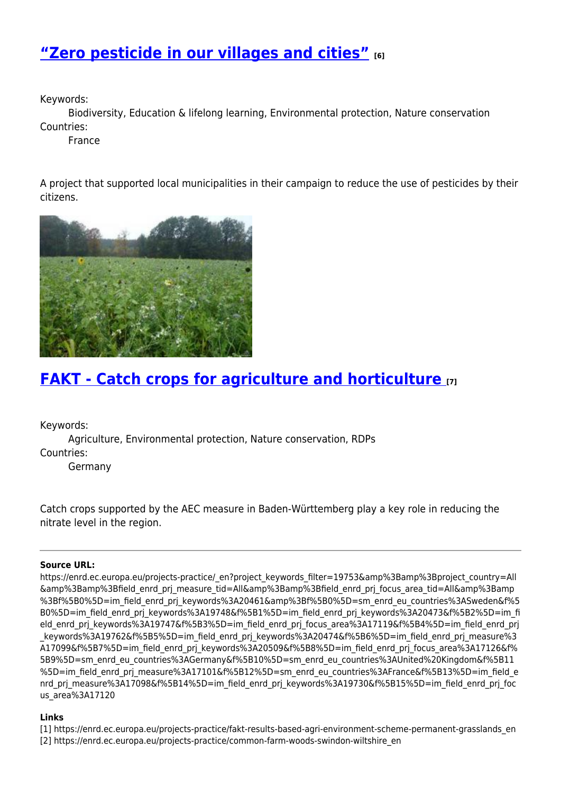## **["Zero pesticide in our villages and cities"](https://enrd.ec.europa.eu/projects-practice/zero-pesticide-our-villages-and-cities_en) [6]**

Keywords:

Biodiversity, Education & lifelong learning, Environmental protection, Nature conservation Countries:

France

A project that supported local municipalities in their campaign to reduce the use of pesticides by their citizens.



## **[FAKT - Catch crops for agriculture and horticulture](https://enrd.ec.europa.eu/projects-practice/fakt-catch-crops-agriculture-and-horticulture_en) [7]**

Keywords:

Agriculture, Environmental protection, Nature conservation, RDPs Countries:

Germany

Catch crops supported by the AEC measure in Baden-Württemberg play a key role in reducing the nitrate level in the region.

#### **Source URL:**

https://enrd.ec.europa.eu/projects-practice/\_en?project\_keywords\_filter=19753&amp%3Bamp%3Bproject\_country=All &amp%3Bamp%3Bfield\_enrd\_prj\_measure\_tid=All&amp%3Bamp%3Bfield\_enrd\_prj\_focus\_area\_tid=All&amp%3Bamp %3Bf%5B0%5D=im\_field\_enrd\_prj\_keywords%3A20461&amp%3Bf%5B0%5D=sm\_enrd\_eu\_countries%3ASweden&f%5 B0%5D=im\_field\_enrd\_prj\_keywords%3A19748&f%5B1%5D=im\_field\_enrd\_prj\_keywords%3A20473&f%5B2%5D=im\_fi eld\_enrd\_prj\_keywords%3A19747&f%5B3%5D=im\_field\_enrd\_prj\_focus\_area%3A17119&f%5B4%5D=im\_field\_enrd\_prj keywords%3A19762&f%5B5%5D=im\_field\_enrd\_prj\_keywords%3A20474&f%5B6%5D=im\_field\_enrd\_prj\_measure%3 A17099&f%5B7%5D=im\_field\_enrd\_prj\_keywords%3A20509&f%5B8%5D=im\_field\_enrd\_prj\_focus\_area%3A17126&f% 5B9%5D=sm\_enrd\_eu\_countries%3AGermany&f%5B10%5D=sm\_enrd\_eu\_countries%3AUnited%20Kingdom&f%5B11 %5D=im\_field\_enrd\_prj\_measure%3A17101&f%5B12%5D=sm\_enrd\_eu\_countries%3AFrance&f%5B13%5D=im\_field\_e nrd prj measure%3A17098&f%5B14%5D=im field enrd prj keywords%3A19730&f%5B15%5D=im field enrd prj foc us area%3A17120

### **Links**

[1] https://enrd.ec.europa.eu/projects-practice/fakt-results-based-agri-environment-scheme-permanent-grasslands\_en

[2] https://enrd.ec.europa.eu/projects-practice/common-farm-woods-swindon-wiltshire\_en